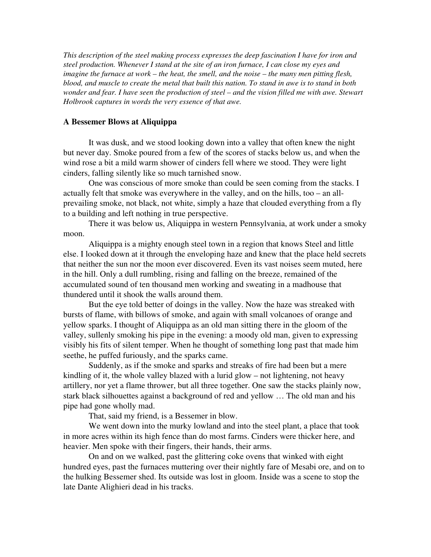*This description of the steel making process expresses the deep fascination I have for iron and steel production. Whenever I stand at the site of an iron furnace, I can close my eyes and imagine the furnace at work – the heat, the smell, and the noise – the many men pitting flesh, blood, and muscle to create the metal that built this nation. To stand in awe is to stand in both wonder and fear. I have seen the production of steel – and the vision filled me with awe. Stewart Holbrook captures in words the very essence of that awe.*

## A Bessemer Blows at Aliquippa

It was dusk, and we stood looking down into a valley that often knew the night but never day. Smoke poured from a few of the scores of stacks below us, and when the wind rose a bit a mild warm shower of cinders fell where we stood. They were light cinders, falling silently like so much tarnished snow.

One was conscious of more smoke than could be seen coming from the stacks. I actually felt that smoke was everywhere in the valley, and on the hills, too – an allprevailing smoke, not black, not white, simply a haze that clouded everything from a fly to a building and left nothing in true perspective.

There it was below us, Aliquippa in western Pennsylvania, at work under a smoky moon.

Aliquippa is a mighty enough steel town in a region that knows Steel and little else. I looked down at it through the enveloping haze and knew that the place held secrets that neither the sun nor the moon ever discovered. Even its vast noises seem muted, here in the hill. Only a dull rumbling, rising and falling on the breeze, remained of the accumulated sound of ten thousand men working and sweating in a madhouse that thundered until it shook the walls around them.

But the eye told better of doings in the valley. Now the haze was streaked with bursts of flame, with billows of smoke, and again with small volcanoes of orange and yellow sparks. I thought of Aliquippa as an old man sitting there in the gloom of the valley, sullenly smoking his pipe in the evening: a moody old man, given to expressing visibly his fits of silent temper. When he thought of something long past that made him seethe, he puffed furiously, and the sparks came.

Suddenly, as if the smoke and sparks and streaks of fire had been but a mere kindling of it, the whole valley blazed with a lurid glow – not lightening, not heavy artillery, nor yet a flame thrower, but all three together. One saw the stacks plainly now, stark black silhouettes against a background of red and yellow … The old man and his pipe had gone wholly mad.

That, said my friend, is a Bessemer in blow.

We went down into the murky lowland and into the steel plant, a place that took in more acres within its high fence than do most farms. Cinders were thicker here, and heavier. Men spoke with their fingers, their hands, their arms.

On and on we walked, past the glittering coke ovens that winked with eight hundred eyes, past the furnaces muttering over their nightly fare of Mesabi ore, and on to the hulking Bessemer shed. Its outside was lost in gloom. Inside was a scene to stop the late Dante Alighieri dead in his tracks.